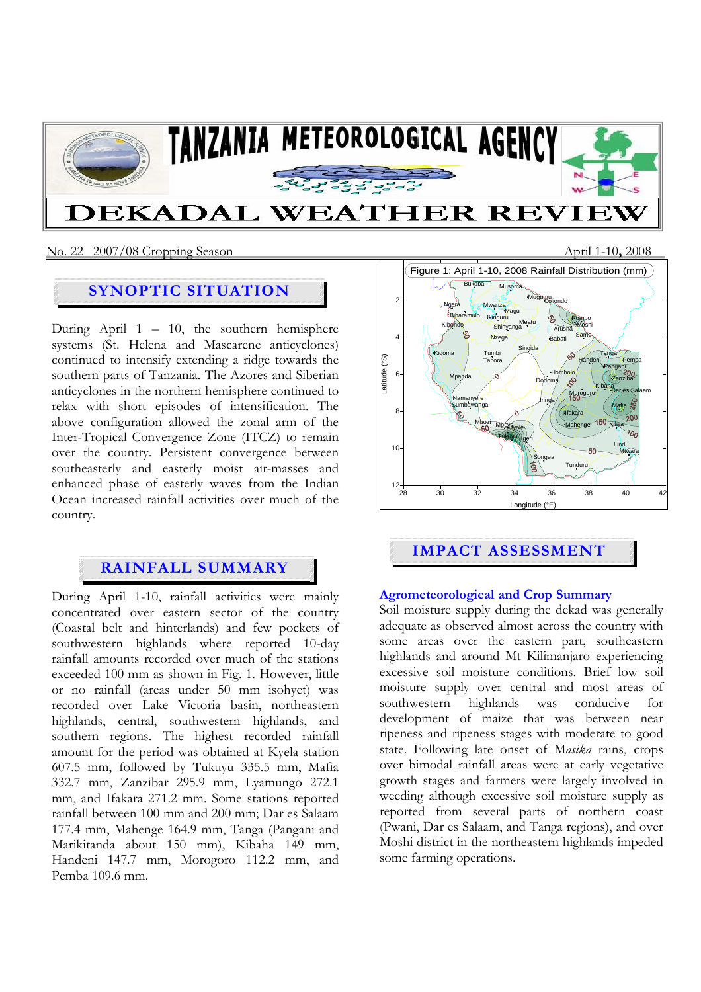

#### No. 22 2007/08 Cropping Season April 1-10**,** 2008

# **SYNOPTIC SITUATION**

During April  $1 - 10$ , the southern hemisphere systems (St. Helena and Mascarene anticyclones) continued to intensify extending a ridge towards the southern parts of Tanzania. The Azores and Siberian anticyclones in the northern hemisphere continued to relax with short episodes of intensification. The above configuration allowed the zonal arm of the Inter-Tropical Convergence Zone (ITCZ) to remain over the country. Persistent convergence between southeasterly and easterly moist air-masses and enhanced phase of easterly waves from the Indian Ocean increased rainfall activities over much of the country.

## **RAINFALL SUMMARY**

During April 1-10, rainfall activities were mainly concentrated over eastern sector of the country (Coastal belt and hinterlands) and few pockets of southwestern highlands where reported 10-day rainfall amounts recorded over much of the stations exceeded 100 mm as shown in Fig. 1. However, little or no rainfall (areas under 50 mm isohyet) was recorded over Lake Victoria basin, northeastern highlands, central, southwestern highlands, and southern regions. The highest recorded rainfall amount for the period was obtained at Kyela station 607.5 mm, followed by Tukuyu 335.5 mm, Mafia 332.7 mm, Zanzibar 295.9 mm, Lyamungo 272.1 mm, and Ifakara 271.2 mm. Some stations reported rainfall between 100 mm and 200 mm; Dar es Salaam 177.4 mm, Mahenge 164.9 mm, Tanga (Pangani and Marikitanda about 150 mm), Kibaha 149 mm, Handeni 147.7 mm, Morogoro 112.2 mm, and Pemba 109.6 mm.



# **IMPACT ASSESSMENT**

#### **Agrometeorological and Crop Summary**

Soil moisture supply during the dekad was generally adequate as observed almost across the country with some areas over the eastern part, southeastern highlands and around Mt Kilimanjaro experiencing excessive soil moisture conditions. Brief low soil moisture supply over central and most areas of southwestern highlands was conducive for development of maize that was between near ripeness and ripeness stages with moderate to good state. Following late onset of M*asika* rains, crops over bimodal rainfall areas were at early vegetative growth stages and farmers were largely involved in weeding although excessive soil moisture supply as reported from several parts of northern coast (Pwani, Dar es Salaam, and Tanga regions), and over Moshi district in the northeastern highlands impeded some farming operations.